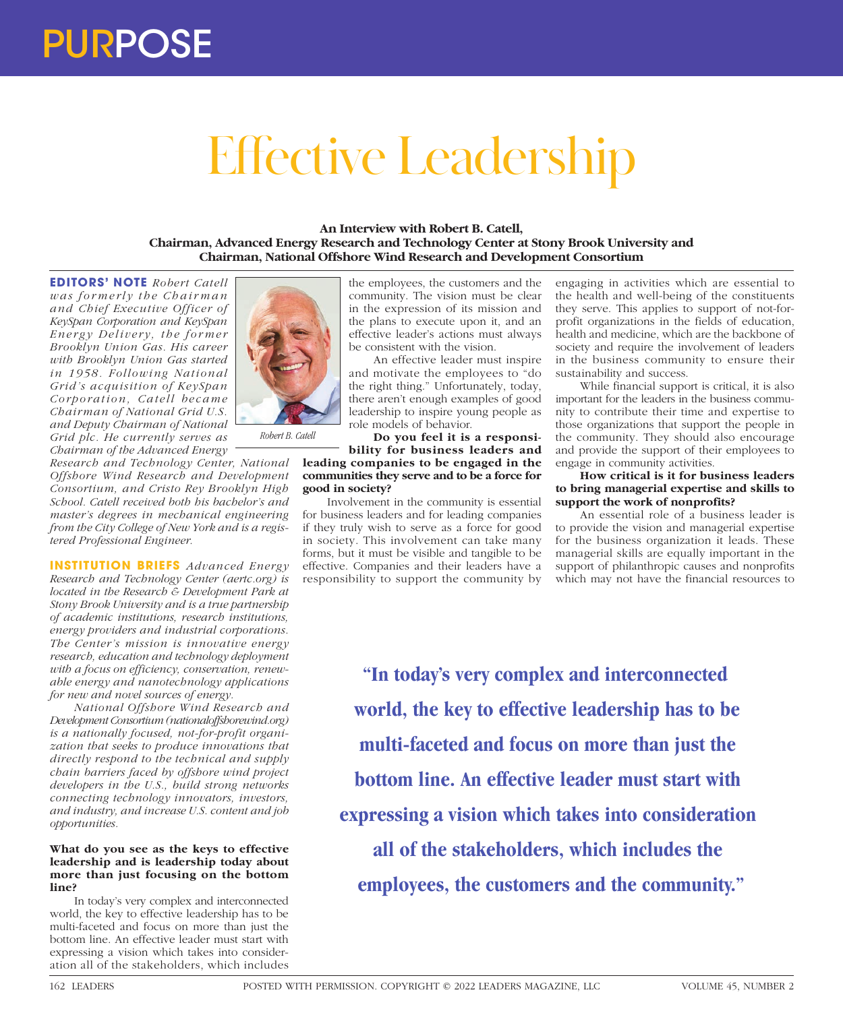## Effective Leadership

**An Interview with Robert B. Catell, Chairman, Advanced Energy Research and Technology Center at Stony Brook University and Chairman, National Offshore Wind Research and Development Consortium**

**EDITORS' NOTE** *Robert Catell was formerly the Chairman and Chief Executive Officer of KeySpan Corporation and KeySpan Ener gy Delivery, the for mer Brooklyn Union Gas. His career with Brooklyn Union Gas started in 1958. Following National Grid's acquisition of KeySpan Corporation, Catell became Chairman of National Grid U.S. and Deputy Chairman of National Grid plc. He currently serves as Chairman of the Advanced Energy* 

*Research and Technology Center, National Offshore Wind Research and Development Consortium, and Cristo Rey Brooklyn High School. Catell received both his bachelor's and master's degrees in mechanical engineering from the City College of New York and is a registered Professional Engineer.*

**INSTITUTION BRIEFS** *Advanced Energy Research and Technology Center (aertc.org) is located in the Research & Development Park at Stony Brook University and is a true partnership of academic institutions, research institutions, energy providers and industrial corporations. The Center's mission is innovative energy research, education and technology deployment with a focus on efficiency, conservation, renewable energy and nanotechnology applications for new and novel sources of energy.*

*National Offshore Wind Research and Development Consortium (nationaloffshorewind.org) is a nationally focused, not-for-profit organization that seeks to produce innovations that directly respond to the technical and supply chain barriers faced by offshore wind project developers in the U.S., build strong networks connecting technology innovators, investors, and industry, and increase U.S. content and job opportunities.*

## **What do you see as the keys to effective leadership and is leadership today about more than just focusing on the bottom line?**

In today's very complex and interconnected world, the key to effective leadership has to be multi-faceted and focus on more than just the bottom line. An effective leader must start with expressing a vision which takes into consideration all of the stakeholders, which includes

the employees, the customers and the community. The vision must be clear in the expression of its mission and the plans to execute upon it, and an effective leader's actions must always be consistent with the vision.

An effective leader must inspire and motivate the employees to "do the right thing." Unfortunately, today, there aren't enough examples of good leadership to inspire young people as role models of behavior.

**Do you feel it is a responsibility for business leaders and** 

**leading companies to be engaged in the communities they serve and to be a force for good in society?**

Involvement in the community is essential for business leaders and for leading companies if they truly wish to serve as a force for good in society. This involvement can take many forms, but it must be visible and tangible to be effective. Companies and their leaders have a responsibility to support the community by

engaging in activities which are essential to the health and well-being of the constituents they serve. This applies to support of not-forprofit organizations in the fields of education, health and medicine, which are the backbone of society and require the involvement of leaders in the business community to ensure their sustainability and success.

While financial support is critical, it is also important for the leaders in the business community to contribute their time and expertise to those organizations that support the people in the community. They should also encourage and provide the support of their employees to engage in community activities.

## **How critical is it for business leaders to bring managerial expertise and skills to support the work of nonprofits?**

An essential role of a business leader is to provide the vision and managerial expertise for the business organization it leads. These managerial skills are equally important in the support of philanthropic causes and nonprofits which may not have the financial resources to

**"In today's very complex and interconnected world, the key to effective leadership has to be multi-faceted and focus on more than just the bottom line. An effective leader must start with expressing a vision which takes into consideration all of the stakeholders, which includes the employees, the customers and the community."**



*Robert B. Catell*